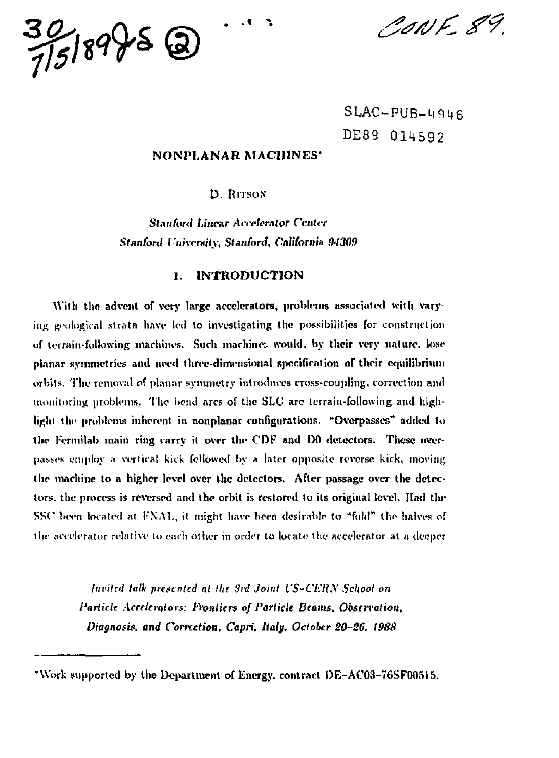**p)s^<sup>s</sup>**

**a**  $200F 89.$ 

 $SLAC-PUB-4946$ DE89 014592

#### **NONPLANAR MACHINES'**

**D**. **RITSON** 

*Stanfurd* Linear *Accelerator Cvntrr Stanford* f m versify, *Stanford, California 94309* 

#### *I.* **INTRODUCTION**

With the advent of very large accelerators, problems associated with varying geological strata have led to investigating the possibilities for construction of terrain-following machines. Such machine:, would, hy their wry nature, lose planar symmetries and need three-dimensional specification of their equilibrium orbits. The removal of planar symmetry introduces cross-coupling, correction ami monitoring problems. The bend arcs of the SIX' arc terrain-following and highlight tin- problems inherent in nonplanar configurations. "Overpasses" added to the Fermilab main ring carry it over the CDF and D0 detectors. These overpasses employ a vertical kick followed by a later opposite reverse kick, moving the machine to a higher level over the detectors. After passage over the detectors, the process is reversed and the orbit is restored to its original level. Had the SSC been located at KN'Al,, it might have been desirable to "fold" the halves of the accelerator relative to each other in order to locate the accelerator at a deeper

> *Invited talk presented at the 3rd Joint US-CERN School on Particle Accelerators: Frontiers of Particle Beams, Observation, Diagnosis and Correction. Capri, Italy, October 20-36, 1988*

<sup>•</sup>Work supported by the Department of Energy, contract DE-ACG3-76SF005I5.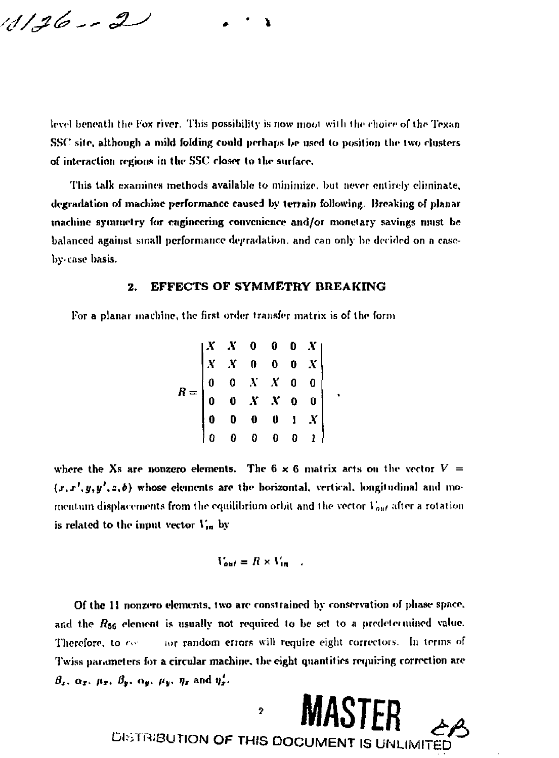**level beneath tlie Fox river. This possibility is now moot wiih the choice of the Texan SSC site, although a mild folding could perhaps be used to position the two clusters of interaction regions in the SSC closer to the surface.** 

*s<f/f£~~ <2-^* 

**This tiilk examines methods available to minimize, but never entirely eliminate, degradation of machine performance caused by terrain following. Breaking of planar machine symmetry for engineering convenience and/or monetary savings must be balanced against small performance degradation, and ran only be. decided on n caseby-case basis.** 

### 2. EFFECTS OF SYMMETRY BREAKING

**For a planar machine, the first order transfer matrix is of the form** 

$$
R = \begin{pmatrix} X & X & 0 & 0 & 0 & X \\ X & X & 0 & 0 & 0 & X \\ 0 & 0 & X & X & 0 & 0 \\ 0 & 0 & X & X & 0 & 0 \\ 0 & 0 & 0 & 0 & 1 & X \\ 0 & 0 & 0 & 0 & 0 & 1 \end{pmatrix}
$$

where the Xs are nonzero elements. The  $6 \times 6$  matrix acts on the vector  $V =$ *{x,s',y,y',z,i>)* **whose elements are the horizontal, vertical, longitudinal and momentum displacements from the equilibrium orbit and the vector** *\'out* **after a rotation is related to the input vector** *\',"* **by** 

$$
V_{out} = R \times V_{in} \quad .
$$

**Of the 11 nonzero elements. Iwo arc constrained by conservation of phase space,**  and the  $R_{56}$  element is usually not required to be set to a predetermined value. **Therefore, to**  $\cos$  **- as random errors will require eight correctors.** In terms of **Twigs parameters for a circular machine, the eight quantities requiring correction are**   $\boldsymbol{\beta}_x$ ,  $\boldsymbol{\alpha}_x$ ,  $\boldsymbol{\mu}_x$ ,  $\boldsymbol{\beta}_y$ ,  $\boldsymbol{\alpha}_y$ ,  $\boldsymbol{\mu}_y$ ,  $\eta_x$  and  $\eta_x$ .

> **•** MASTER DISTRIBUTION OF THIS DOCUMENT IS UNLIMITED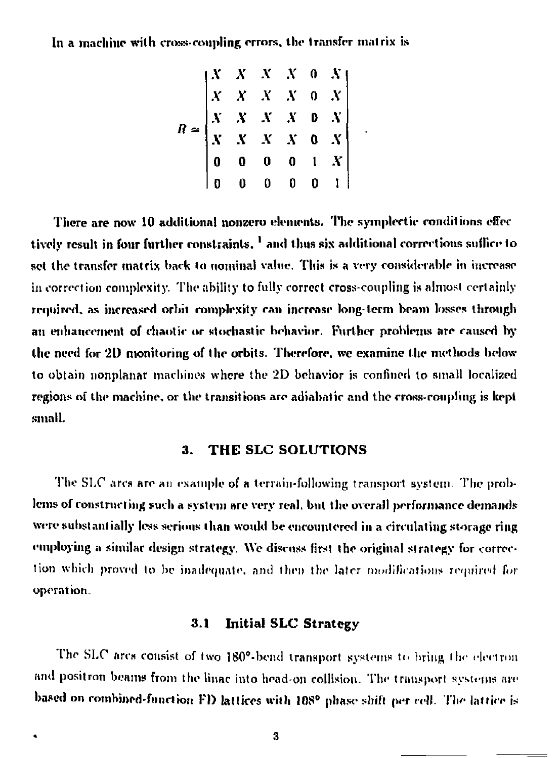In a machine with cross-coupling errors, the transfer matrix is

$$
R = \begin{bmatrix} X & X & X & X & 0 & X \\ X & X & X & X & 0 & X \\ X & X & X & X & 0 & X \\ X & X & X & X & 0 & X \\ 0 & 0 & 0 & 0 & 1 & X \\ 0 & 0 & 0 & 0 & 0 & 1 \end{bmatrix}
$$

There are now 10 additional nonzero elements. The symplectic conditions effec tively result in four further constraints.  $<sup>1</sup>$  and thus six additional corrections suffice to</sup> set the transfer matrix back to nominal value. This is a very considerable in increase in correction complexity. The ability to fully correct cross-coupling is almost certainly required, as increased orbit complexity can increase long-term beam losses through an enhancement of chaotic or stochastic behavior. Further problems are caused by the need for 2D monitoring of the orbits. Therefore, we examine the methods below to obtain nonplanar machines where the 2D behavior is confined to small localized regions of the machine, or the transitions are adiabatic and the cross-coupling is kept small.

# **3. THE** SLC **SOLUTIONS**

The SLC arcs are an example of a terrain-following transport system. The problems of constructing such a system are very real, bill the overall performance demands were substantially less serious than would be encountered in a circulating storage ring employing a similar design strategy. \Ye discuss lirst the original strategy for correction which proved to be inadequate, and then the later modifications required for operation.

### **3.1 Initial SLC Strategy**

The SLC arcs consist of two 180°-bend transport systems to bring the electron and positron beams from the linac into head-on collision. The transport systems are based on combined-function FD lattices with 108° phase shift per cell. The lattice is

**3** 

٠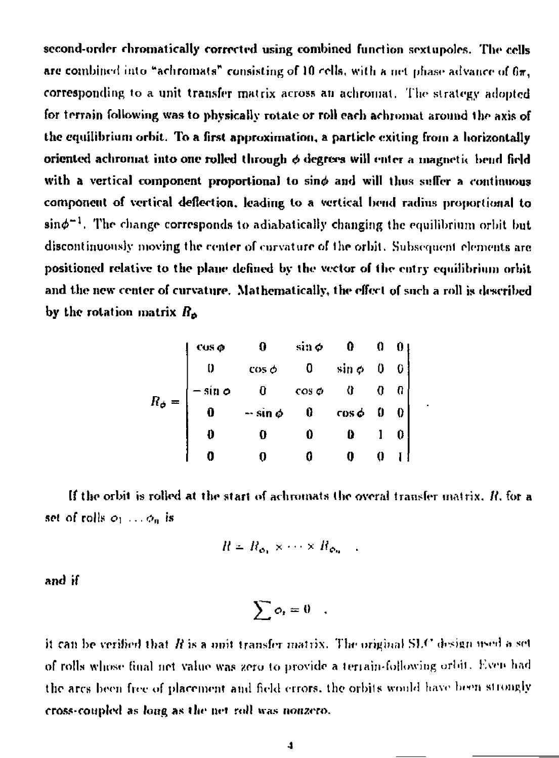second-order chromatically corrected using combined function sextupoles. The cells are combined into "achromats" consisting of 10 cells, with a net phase advance of  $6\pi$ , corresponding to a unit transfer matrix across an achromat. The strategy adopted for terrain following was to physically rotate or roll each achromat around the axis of the equilibrium orbit. To a first approximation, a particle exiting from a horizontally oriented achromat into one rolled through  $\phi$  degrees will enter a magnetic bend field with a vertical component proportional to sin $\phi$  and will thus suffer a continuous component of vertical deflection, leading to a vertical bend radius proportional to  $\sin \phi^{-1}$ . The change corresponds to adiabatically changing the equilibrium orbit but discontinuously moving the center of curvature of the orbit. Subsequent elements are positioned relative to the plane defined by the vector of the entry equilibrium orbit and the new center of curvature. Mathematically, the effect of such a roll is described by the rotation matrix  $R_{\phi}$ 

$$
R_{\phi} = \begin{bmatrix} \cos \phi & 0 & \sin \phi & 0 & 0 & 0 \\ 0 & \cos \phi & 0 & \sin \phi & 0 & 0 \\ -\sin \phi & 0 & \cos \phi & 0 & 0 & 0 \\ 0 & -\sin \phi & 0 & \cos \phi & 0 & 0 \\ 0 & 0 & 0 & 0 & 1 & 0 \\ 0 & 0 & 0 & 0 & 0 & 1 \end{bmatrix}
$$

If the orbit is rolled at the start of achromats the overal transfer matrix. R, for a set of rolls  $o_1 \ldots o_n$  is

$$
R = R_{\phi_1} \times \cdots \times R_{\phi_m}
$$

and if

$$
\sum \phi_t = 0
$$

it can be verified that  $R$  is a unit transfer matrix. The original SLC design used a set of rolls whose final net value was zero to provide a terrain-following orbit. Even had the arcs been free of placement and field errors, the orbits would have been strongly cross-coupled as long as the net roll was nonzero.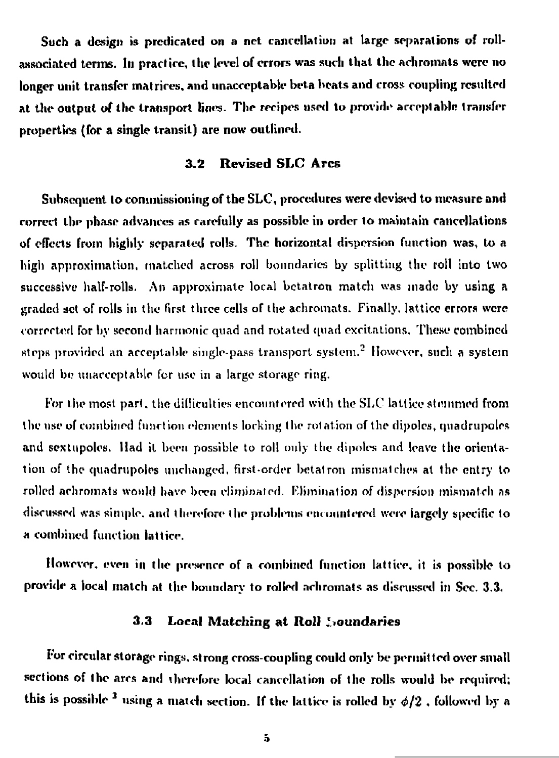Such a design is predicated on a net cancellation at large separations of rollassociated terms. In practice, the level of errors was such that the achromats were no longer unit transfer matrices, and unacceptable beta beats and cross coupling resulted at the output of the transport lines. The recipes used to provide acceptable transfer properties (for a single transit) are now outlined.

### 3.2 Revised SLC Arcs

Subsequent to commissioning of the SLC, procedures were devised to measure and correct the phase advances as carefully as possible in order to maintain cancellations of effects from highly separated rolls. The horizontal dispersion function was, to a high approximation, matched across roll boundaries by splitting the roll into two successive half-rolls. An approximate local betatron match was made by using a graded act of rolls in the first three cells of the achromats. Finally, lattice errors were corrected for by second harmonic quad and rotated quad excitations. These combined steps provided an acceptable single-pass transport system.<sup>2</sup> However, such a system would be unacceptable for use in a largo storage ring.

For the most part, the difficulties encountered with the SLC lattice stemmed from the use of combined function elements locking the rotation of the dipoles, quadrupoles and sexuipoles. Had il been possible to roll only the dipoles and leave the orientation of the quadrupoles unchanged, first-order betatron mismatches at the entry to rolled achromats would have been eliminated. Elimination of dispersion mismatch as discussed was simple, and therefore the problems encountered were largely specific to a combined function lattice.

However, even in the presence of a combined function lattice, it is possible to provide a local match at the boundary to rolled achromats as discussed in Sec. 3.3,

# 3.3 Local Matching at Roll Loundaries

for circular storage rings, strong cross-coupling could only be permitted over small sections of the arcs and therefore local cancellation of the rolls would be required; this is possible  $^3$  using a match section. If the lattice is rolled by  $\phi/2$  , followed by a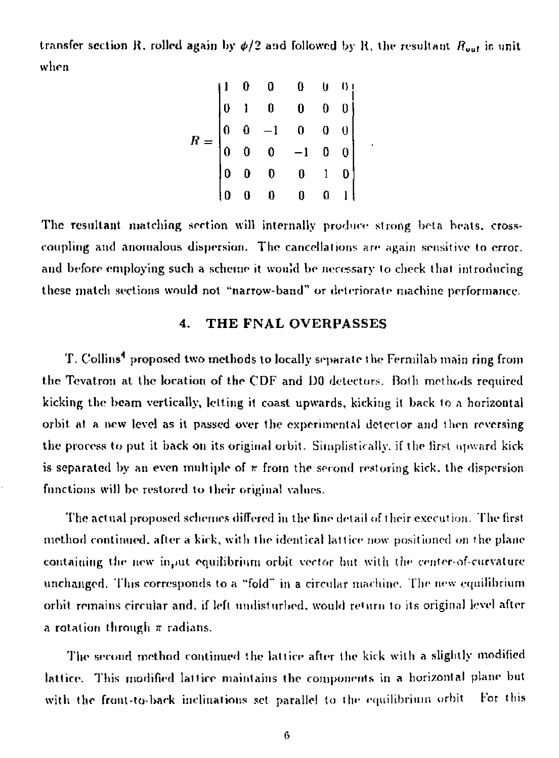transfer section R, rolled again by  $\phi/2$  and followed by R, the resultant  $R_{out}$  is unit when

$$
R = \begin{bmatrix} 1 & 0 & 0 & 0 & 0 & 0 \\ 0 & 1 & 0 & 0 & 0 & 0 \\ 0 & 0 & -1 & 0 & 0 & 0 \\ 0 & 0 & 0 & -1 & 0 & 0 \\ 0 & 0 & 0 & 0 & 1 & 0 \\ 0 & 0 & 0 & 0 & 0 & 1 \end{bmatrix}
$$

The resultant matching section will internally produce strong beta beats, crosscoupling and anomalous dispersion. The cancellations are again sensitive to error, and before employing such a scheme it would be necessary to check thai introducing these match sections would not "narrow-band" or deteriorate machine performance.

# 4. THE FNAL OVERPASSES

T. Collins<sup>4</sup> proposed two methods to locally separate the Fermilab main ring from the Tevatron at the location of the CDF and DO detectors. Both methods required kicking the beam vertically, letting it coast upwards, kicking it back to a horizontal orbit at a new level as it passed over the experimental detector and then reversing the process to put it back on its original orbit. Simplistically. if the first upward kick is separated by an even multiple of  $\pi$  from the second restoring kick, the dispersion functions will be restored to their original values.

The actual proposed schemes differed in the line detail of their execution. The first method continued, after a kick, with the identical lattice now positioned on the plane containing the new in,jut equilibrium orbit vector but with the center-of-curvalure unchanged. This corresponds to a "fold" in a circular machine. The new equilibrium orbit remains circular and. if left undisturbed, would return lo its original level after a rotation through *n* radians.

The second method continued the lattice after the kick with a slightly modified lattice. This modified lattice maintains the components in a horizontal plane but with the front-to-back inclinations set parallel to the equilibrium orbit. For this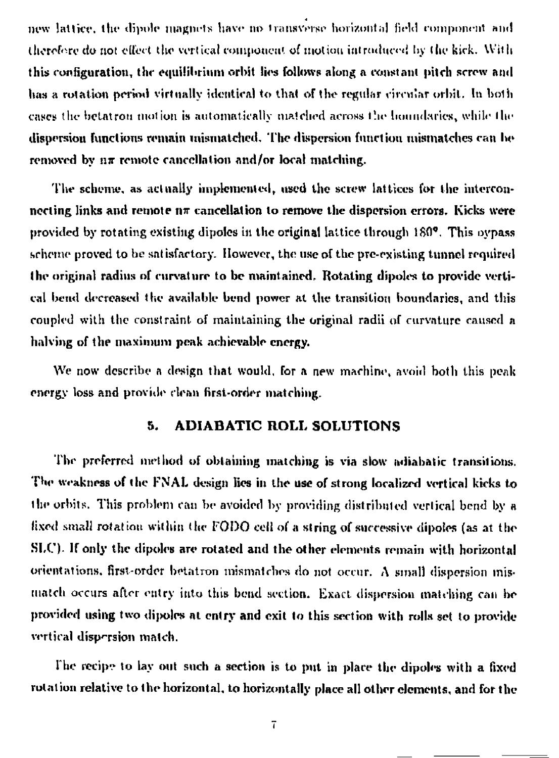new lattice, the dipole magnets have no transverse horizontal field component and therefore do not oiled the vortical component of mot ion introduced by lite kick. With this configuration, the equilibrium orbit lies follows along a constant pitch screw and has a rotation period virtually identical to that of the regular circmar orhil. In holh cases the betatron motion is automatically matched across the houndaries, while the dispersion functions remain mismatched. The dispersion function mismatches can he removed by  $n\pi$  remote cancellation and/or local matching.

The scheme, as actually implemented, used the screw lattices for the interconnecting links and remote mr cancellation to remove the dispersion errors. Kicks were provided by rotating existing dipoles in the original lattice through ISO\*. This oypass wheme proved to he satisfactory. However, the use of the pre-existing tunnel required the original radius of curvature to be maintained. Rotating dipoles to provide vertical bend decreased the available bend power at the transition boundaries, and this coupled with the constraint of maintaining the original radii of curvature caused a halving of the maximum peak achievable energy.

We now describe a design that would, for a new machine, avoid both this peak energy loss and provide clean first-order matching.

### 5. **ADIABATIC ROLL SOLUTIONS**

The preferred method of obtaining matching is via slow adiabatic transitions. The weakness of the FNAL design lies in the use of strong localized vertical kicks to the orbits. This problem can be avoided by providing distributed vertical bend by a lixed small rotation within the FODO cell of a string of successive dipoles (as at the SI,C). If only the dipoles are rotated and the other elements remain with horizontal orientations, first-order betatron mismatches do not occur. A small dispersion mismatch occurs after entry into this bend section. Exact dispersion matching can be provided using two dipoles at entry and exit to this section with rolls set to provide vertical dispersion match.

The recipe to lay out such a section is to put in place the dipoles with a fixed rotation relative to the horizontal, to horizontally place all other elements, and for the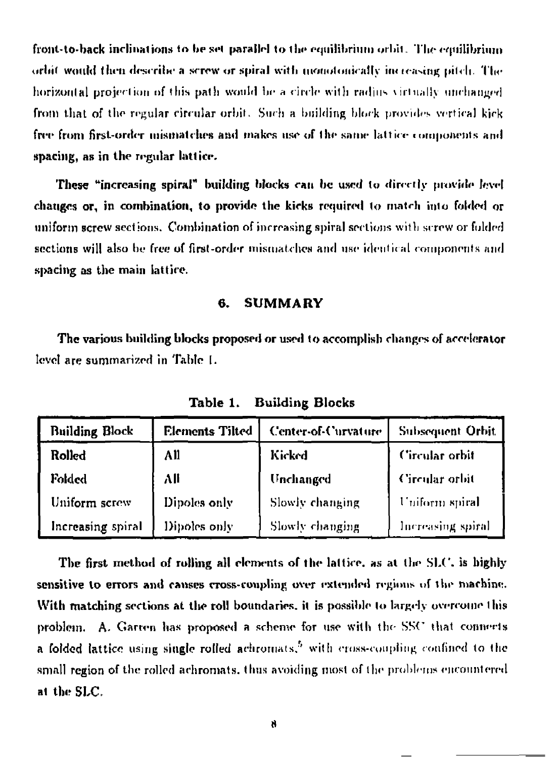front-to-back inclinations to be set parallel to the equilibrium orbit. The equilibrium orbit would then describe a screw or spiral with monotonically increasing pitch. The horizontal projection of this path would be a circle with radius virtually unchanged from that of the regular circular orbit. Such a building block provides vertical kick free from first-order mismatches and makes use of the same lattice components and spacing, as in the regular lattice.

These "increasing spiral" building blocks can be used to directly provide level changes or, in combination, to provide the kirks required lo match into folded or uniform screw sections. Combination of increasing spiral sections with screw or folder] sections will also he free of first-order mismatches and use identical components and spacing as the main lattice.

### 6. SUMMARY

The various building blocks proposed or used to accomplish changes of accelerator level are summarized in Table 1.

| <b>Building Block</b> | Elements Tilted | Center-of-Curvature | <b>Subsequent Orbit</b> |
|-----------------------|-----------------|---------------------|-------------------------|
| Rolled                | All             | Kicked              | Circular orbit          |
| Folded                | All             | Unchanged           | <b>Circular orbit</b>   |
| Uniform screw         | Dipoles only    | Slowly changing     | Uniform spiral          |
| Increasing spiral     | Dipoles only    | Slowly changing     | Increasing spiral       |

Table 1. Building Blocks

The first method of rolling all elements of the lattice, *us* at the SLC. is highly sensitive to errors and causes cross-coupling over extended regions of the machine. With matching sections at the roll boundaries, it is possible to largely overcome this problem. A. Garten lias proposed a scheme for use with the SSC that connects a folded lattice using single rolled achromats,<sup>5</sup> with cross-coupling confined to the small region of the rolled achromats, thus avoiding most of the problems encountered **at the SI-C.**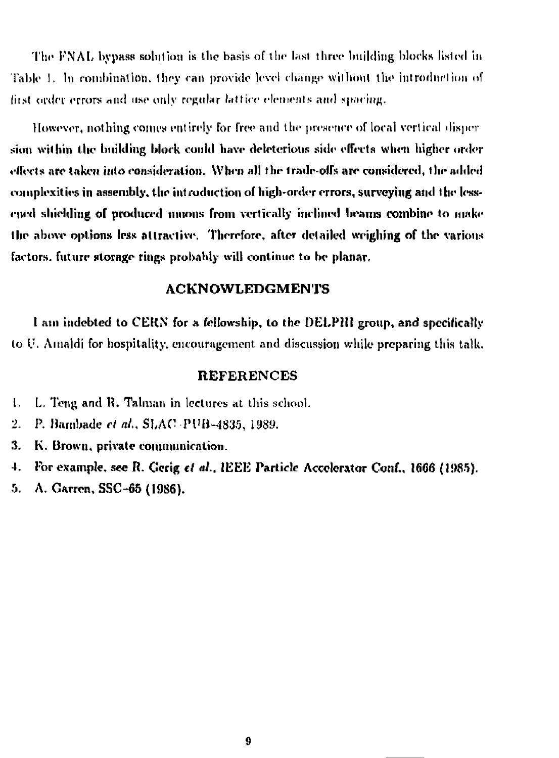The FNAL bypass solution is the basis of the last three building blocks listed in Table 1. In combination, they can provide level change without the introduction of first order errors and use only regular lattice elements and spacing.

However, nothing comes entirely for free and the presence of local vertical dispersion within the building block could have deleterious side effects when higher order effects are taken into consideration. When all the trade-offs are considered, the added complexities in assembly, the introduction of high-order errors, surveying and the lessened shielding of produced muons from vertically inclined beams combine to make the above options less attractive. Therefore, after detailed weighing of the various factors, future storage rings probably will continue to be planar,

### **ACKNOWLEDGMENTS**

I am indebted to CERN for a fellowship, to the DELPIN group, and specifically to U. Amaldi for hospitality, encouragement and discussion while preparing this talk.

#### **REFERENCES**

- L. Teng and R. Talman in lectures at this school. 1.
- 2. P. Bambade et al., SLAC PUB-4835, 1989.
- 3. K. Brown, private communication.
- 4. For example, see R. Gerig et al., IEEE Particle Accelerator Conf., 1666 (1985).
- 5, A. Garren, SSC-65 (1986).